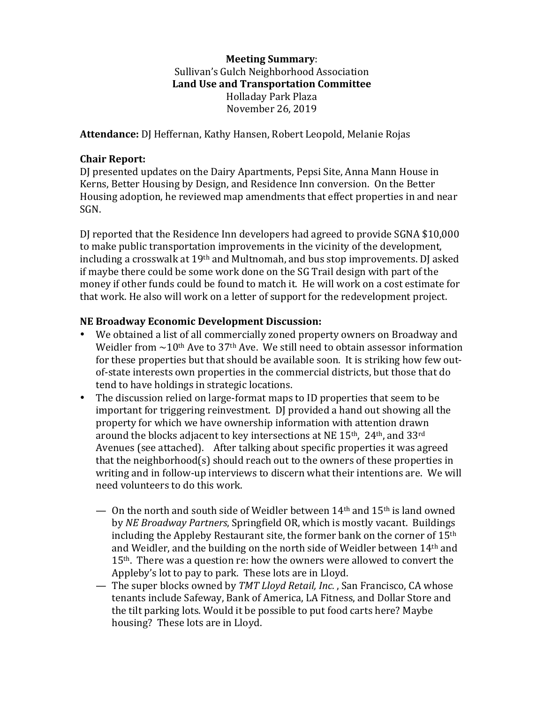### **Meeting Summary**: Sullivan's Gulch Neighborhood Association Land Use and Transportation Committee Holladay Park Plaza November 26, 2019

Attendance: DJ Heffernan, Kathy Hansen, Robert Leopold, Melanie Rojas

### **Chair Report:**

DJ presented updates on the Dairy Apartments, Pepsi Site, Anna Mann House in Kerns, Better Housing by Design, and Residence Inn conversion. On the Better Housing adoption, he reviewed map amendments that effect properties in and near SGN.

DJ reported that the Residence Inn developers had agreed to provide SGNA \$10,000 to make public transportation improvements in the vicinity of the development, including a crosswalk at  $19<sup>th</sup>$  and Multnomah, and bus stop improvements. DJ asked if maybe there could be some work done on the SG Trail design with part of the money if other funds could be found to match it. He will work on a cost estimate for that work. He also will work on a letter of support for the redevelopment project.

#### **NE Broadway Economic Development Discussion:**

- We obtained a list of all commercially zoned property owners on Broadway and Weidler from  $\sim$  10<sup>th</sup> Ave to 37<sup>th</sup> Ave. We still need to obtain assessor information for these properties but that should be available soon. It is striking how few outof-state interests own properties in the commercial districts, but those that do tend to have holdings in strategic locations.
- The discussion relied on large-format maps to ID properties that seem to be important for triggering reinvestment. DJ provided a hand out showing all the property for which we have ownership information with attention drawn around the blocks adjacent to key intersections at NE  $15<sup>th</sup>$ ,  $24<sup>th</sup>$ , and  $33<sup>rd</sup>$ Avenues (see attached). After talking about specific properties it was agreed that the neighborhood(s) should reach out to the owners of these properties in writing and in follow-up interviews to discern what their intentions are. We will need volunteers to do this work.
	- On the north and south side of Weidler between  $14<sup>th</sup>$  and  $15<sup>th</sup>$  is land owned by *NE Broadway Partners*, Springfield OR, which is mostly vacant. Buildings including the Appleby Restaurant site, the former bank on the corner of  $15<sup>th</sup>$ and Weidler, and the building on the north side of Weidler between  $14<sup>th</sup>$  and  $15<sup>th</sup>$ . There was a question re: how the owners were allowed to convert the Appleby's lot to pay to park. These lots are in Lloyd.
	- The super blocks owned by *TMT Lloyd Retail, Inc.*, San Francisco, CA whose tenants include Safeway, Bank of America, LA Fitness, and Dollar Store and the tilt parking lots. Would it be possible to put food carts here? Maybe housing? These lots are in Lloyd.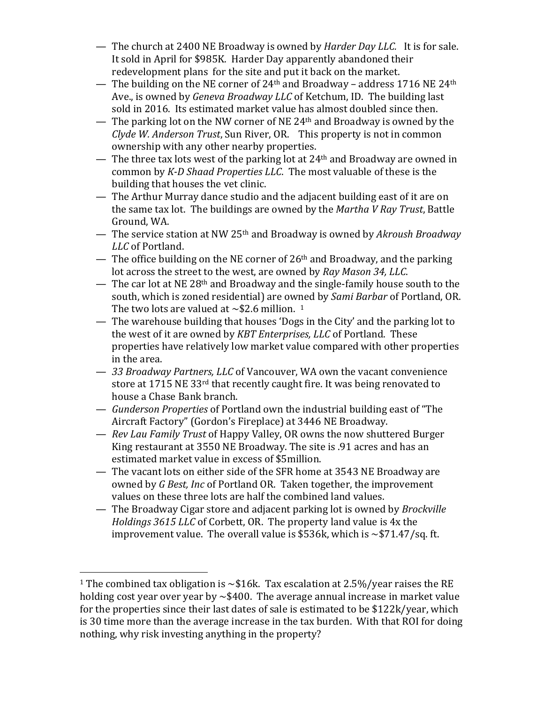- The church at 2400 NE Broadway is owned by *Harder Day LLC.* It is for sale. It sold in April for \$985K. Harder Day apparently abandoned their redevelopment plans for the site and put it back on the market.
- The building on the NE corner of  $24<sup>th</sup>$  and Broadway address 1716 NE  $24<sup>th</sup>$ Ave., is owned by *Geneva Broadway LLC* of Ketchum, ID. The building last sold in 2016. Its estimated market value has almost doubled since then.
- The parking lot on the NW corner of NE 24<sup>th</sup> and Broadway is owned by the *Clyde W. Anderson Trust*, Sun River, OR. This property is not in common ownership with any other nearby properties.
- The three tax lots west of the parking lot at  $24<sup>th</sup>$  and Broadway are owned in common by *K-D Shaad Properties LLC*. The most valuable of these is the building that houses the vet clinic.
- The Arthur Murray dance studio and the adjacent building east of it are on the same tax lot. The buildings are owned by the *Martha V Ray Trust*, Battle Ground, WA.
- The service station at NW 25<sup>th</sup> and Broadway is owned by *Akroush Broadway LLC* of Portland.
- The office building on the NE corner of  $26<sup>th</sup>$  and Broadway, and the parking lot across the street to the west, are owned by *Ray Mason 34, LLC*.
- The car lot at NE 28<sup>th</sup> and Broadway and the single-family house south to the south, which is zoned residential) are owned by *Sami Barbar* of Portland, OR. The two lots are valued at  $\sim$  \$2.6 million. <sup>1</sup>
- The warehouse building that houses 'Dogs in the City' and the parking lot to the west of it are owned by *KBT Enterprises, LLC* of Portland. These properties have relatively low market value compared with other properties in the area.
- $-$  33 Broadway Partners, LLC of Vancouver, WA own the vacant convenience store at 1715 NE 33<sup>rd</sup> that recently caught fire. It was being renovated to house a Chase Bank branch.
- $-$  *Gunderson Properties* of Portland own the industrial building east of "The Aircraft Factory" (Gordon's Fireplace) at 3446 NE Broadway.
- *Rev Lau Family Trust* of Happy Valley, OR owns the now shuttered Burger King restaurant at 3550 NE Broadway. The site is .91 acres and has an estimated market value in excess of \$5million.
- The vacant lots on either side of the SFR home at 3543 NE Broadway are owned by *G* Best, Inc of Portland OR. Taken together, the improvement values on these three lots are half the combined land values.
- The Broadway Cigar store and adjacent parking lot is owned by *Brockville Holdings* 3615 *LLC* of Corbett, OR. The property land value is 4x the improvement value. The overall value is \$536k, which is  $\sim$  \$71.47/sq. ft.

 

<sup>&</sup>lt;sup>1</sup> The combined tax obligation is  $\sim$ \$16k. Tax escalation at 2.5%/year raises the RE holding cost year over year by  $\sim$ \$400. The average annual increase in market value for the properties since their last dates of sale is estimated to be  $$122k/year$ , which is 30 time more than the average increase in the tax burden. With that ROI for doing nothing, why risk investing anything in the property?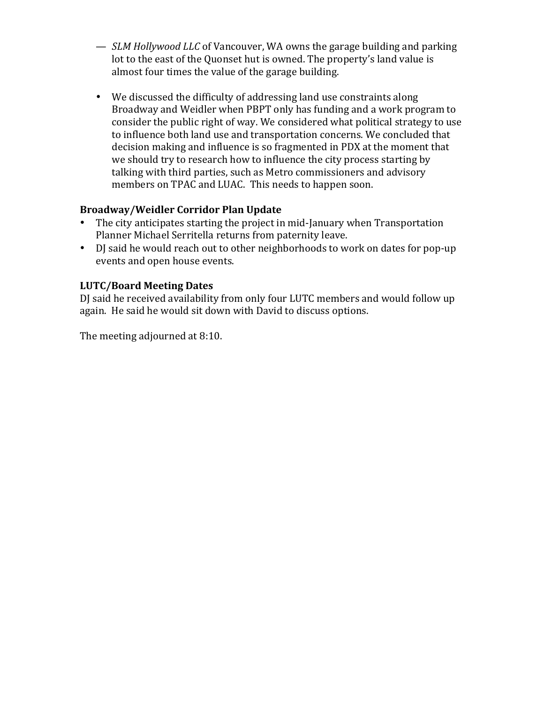- *SLM Hollywood LLC* of Vancouver, WA owns the garage building and parking lot to the east of the Quonset hut is owned. The property's land value is almost four times the value of the garage building.
- We discussed the difficulty of addressing land use constraints along Broadway and Weidler when PBPT only has funding and a work program to consider the public right of way. We considered what political strategy to use to influence both land use and transportation concerns. We concluded that decision making and influence is so fragmented in PDX at the moment that we should try to research how to influence the city process starting by talking with third parties, such as Metro commissioners and advisory members on TPAC and LUAC. This needs to happen soon.

## **Broadway/Weidler Corridor Plan Update**

- The city anticipates starting the project in mid-January when Transportation Planner Michael Serritella returns from paternity leave.
- DJ said he would reach out to other neighborhoods to work on dates for pop-up events and open house events.

## **LUTC/Board Meeting Dates**

DJ said he received availability from only four LUTC members and would follow up again. He said he would sit down with David to discuss options.

The meeting adjourned at 8:10.